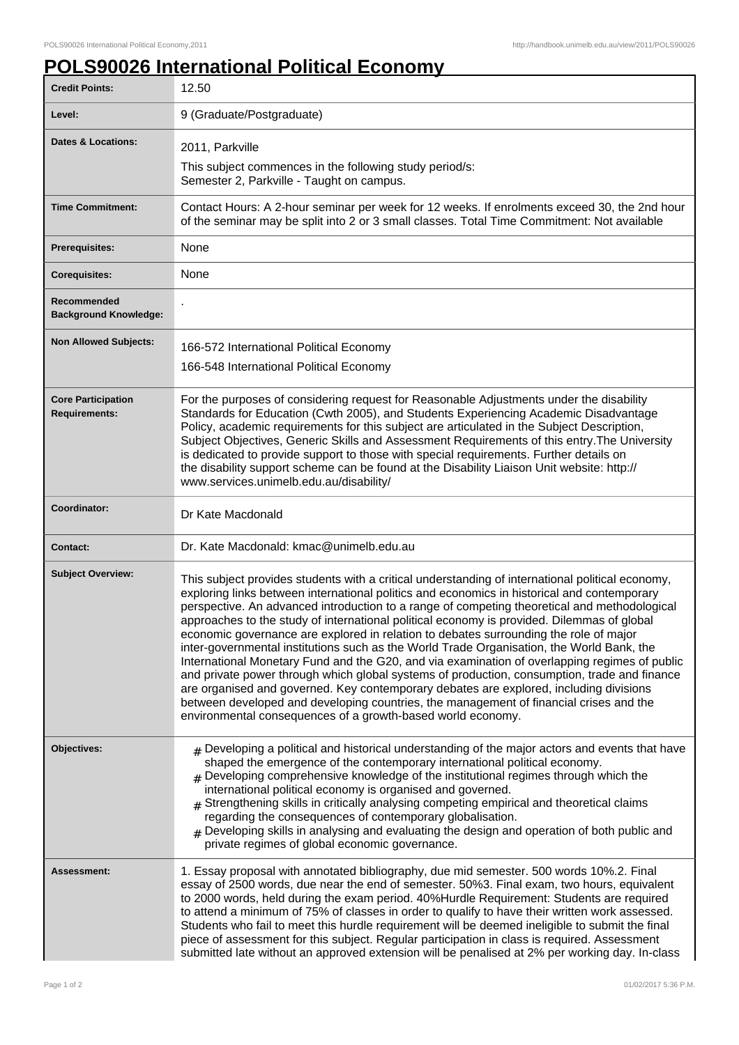## **POLS90026 International Political Economy**

| <b>Credit Points:</b>                             | 12.50                                                                                                                                                                                                                                                                                                                                                                                                                                                                                                                                                                                                                                                                                                                                                                                                                                                                                                                                                                                                                                   |
|---------------------------------------------------|-----------------------------------------------------------------------------------------------------------------------------------------------------------------------------------------------------------------------------------------------------------------------------------------------------------------------------------------------------------------------------------------------------------------------------------------------------------------------------------------------------------------------------------------------------------------------------------------------------------------------------------------------------------------------------------------------------------------------------------------------------------------------------------------------------------------------------------------------------------------------------------------------------------------------------------------------------------------------------------------------------------------------------------------|
| Level:                                            | 9 (Graduate/Postgraduate)                                                                                                                                                                                                                                                                                                                                                                                                                                                                                                                                                                                                                                                                                                                                                                                                                                                                                                                                                                                                               |
| <b>Dates &amp; Locations:</b>                     | 2011, Parkville                                                                                                                                                                                                                                                                                                                                                                                                                                                                                                                                                                                                                                                                                                                                                                                                                                                                                                                                                                                                                         |
|                                                   | This subject commences in the following study period/s:<br>Semester 2, Parkville - Taught on campus.                                                                                                                                                                                                                                                                                                                                                                                                                                                                                                                                                                                                                                                                                                                                                                                                                                                                                                                                    |
| <b>Time Commitment:</b>                           | Contact Hours: A 2-hour seminar per week for 12 weeks. If enrolments exceed 30, the 2nd hour<br>of the seminar may be split into 2 or 3 small classes. Total Time Commitment: Not available                                                                                                                                                                                                                                                                                                                                                                                                                                                                                                                                                                                                                                                                                                                                                                                                                                             |
| <b>Prerequisites:</b>                             | None                                                                                                                                                                                                                                                                                                                                                                                                                                                                                                                                                                                                                                                                                                                                                                                                                                                                                                                                                                                                                                    |
| <b>Corequisites:</b>                              | None                                                                                                                                                                                                                                                                                                                                                                                                                                                                                                                                                                                                                                                                                                                                                                                                                                                                                                                                                                                                                                    |
| Recommended<br><b>Background Knowledge:</b>       |                                                                                                                                                                                                                                                                                                                                                                                                                                                                                                                                                                                                                                                                                                                                                                                                                                                                                                                                                                                                                                         |
| <b>Non Allowed Subjects:</b>                      | 166-572 International Political Economy<br>166-548 International Political Economy                                                                                                                                                                                                                                                                                                                                                                                                                                                                                                                                                                                                                                                                                                                                                                                                                                                                                                                                                      |
| <b>Core Participation</b><br><b>Requirements:</b> | For the purposes of considering request for Reasonable Adjustments under the disability<br>Standards for Education (Cwth 2005), and Students Experiencing Academic Disadvantage<br>Policy, academic requirements for this subject are articulated in the Subject Description,<br>Subject Objectives, Generic Skills and Assessment Requirements of this entry. The University<br>is dedicated to provide support to those with special requirements. Further details on<br>the disability support scheme can be found at the Disability Liaison Unit website: http://<br>www.services.unimelb.edu.au/disability/                                                                                                                                                                                                                                                                                                                                                                                                                        |
| <b>Coordinator:</b>                               | Dr Kate Macdonald                                                                                                                                                                                                                                                                                                                                                                                                                                                                                                                                                                                                                                                                                                                                                                                                                                                                                                                                                                                                                       |
| <b>Contact:</b>                                   | Dr. Kate Macdonald: kmac@unimelb.edu.au                                                                                                                                                                                                                                                                                                                                                                                                                                                                                                                                                                                                                                                                                                                                                                                                                                                                                                                                                                                                 |
| <b>Subject Overview:</b>                          | This subject provides students with a critical understanding of international political economy,<br>exploring links between international politics and economics in historical and contemporary<br>perspective. An advanced introduction to a range of competing theoretical and methodological<br>approaches to the study of international political economy is provided. Dilemmas of global<br>economic governance are explored in relation to debates surrounding the role of major<br>inter-governmental institutions such as the World Trade Organisation, the World Bank, the<br>International Monetary Fund and the G20, and via examination of overlapping regimes of public<br>and private power through which global systems of production, consumption, trade and finance<br>are organised and governed. Key contemporary debates are explored, including divisions<br>between developed and developing countries, the management of financial crises and the<br>environmental consequences of a growth-based world economy. |
| Objectives:                                       | $#$ Developing a political and historical understanding of the major actors and events that have<br>shaped the emergence of the contemporary international political economy.<br>$#$ Developing comprehensive knowledge of the institutional regimes through which the<br>international political economy is organised and governed.<br>Strengthening skills in critically analysing competing empirical and theoretical claims<br>regarding the consequences of contemporary globalisation.<br>$_{\#}$ Developing skills in analysing and evaluating the design and operation of both public and<br>private regimes of global economic governance.                                                                                                                                                                                                                                                                                                                                                                                     |
| Assessment:                                       | 1. Essay proposal with annotated bibliography, due mid semester. 500 words 10%.2. Final<br>essay of 2500 words, due near the end of semester. 50%3. Final exam, two hours, equivalent<br>to 2000 words, held during the exam period. 40%Hurdle Requirement: Students are required<br>to attend a minimum of 75% of classes in order to qualify to have their written work assessed.<br>Students who fail to meet this hurdle requirement will be deemed ineligible to submit the final<br>piece of assessment for this subject. Regular participation in class is required. Assessment<br>submitted late without an approved extension will be penalised at 2% per working day. In-class                                                                                                                                                                                                                                                                                                                                                |